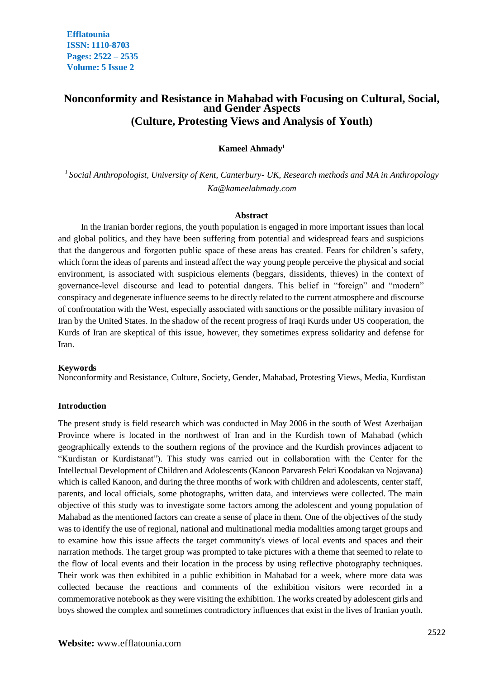# **Nonconformity and Resistance in Mahabad with Focusing on Cultural, Social, and Gender Aspects (Culture, Protesting Views and Analysis of Youth)**

# **Kameel Ahmady<sup>1</sup>**

*1 Social Anthropologist, University of Kent, Canterbury- UK, Research methods and MA in Anthropology Ka@kameelahmady.com*

#### **Abstract**

In the Iranian border regions, the youth population is engaged in more important issues than local and global politics, and they have been suffering from potential and widespread fears and suspicions that the dangerous and forgotten public space of these areas has created. Fears for children's safety, which form the ideas of parents and instead affect the way young people perceive the physical and social environment, is associated with suspicious elements (beggars, dissidents, thieves) in the context of governance-level discourse and lead to potential dangers. This belief in "foreign" and "modern" conspiracy and degenerate influence seems to be directly related to the current atmosphere and discourse of confrontation with the West, especially associated with sanctions or the possible military invasion of Iran by the United States. In the shadow of the recent progress of Iraqi Kurds under US cooperation, the Kurds of Iran are skeptical of this issue, however, they sometimes express solidarity and defense for Iran.

#### **Keywords**

Nonconformity and Resistance, Culture, Society, Gender, Mahabad, Protesting Views, Media, Kurdistan

#### **Introduction**

The present study is field research which was conducted in May 2006 in the south of West Azerbaijan Province where is located in the northwest of Iran and in the Kurdish town of Mahabad (which geographically extends to the southern regions of the province and the Kurdish provinces adjacent to "Kurdistan or Kurdistanat"). This study was carried out in collaboration with the Center for the Intellectual Development of Children and Adolescents (Kanoon Parvaresh Fekri Koodakan va Nojavana) which is called Kanoon, and during the three months of work with children and adolescents, center staff, parents, and local officials, some photographs, written data, and interviews were collected. The main objective of this study was to investigate some factors among the adolescent and young population of Mahabad as the mentioned factors can create a sense of place in them. One of the objectives of the study was to identify the use of regional, national and multinational media modalities among target groups and to examine how this issue affects the target community's views of local events and spaces and their narration methods. The target group was prompted to take pictures with a theme that seemed to relate to the flow of local events and their location in the process by using reflective photography techniques. Their work was then exhibited in a public exhibition in Mahabad for a week, where more data was collected because the reactions and comments of the exhibition visitors were recorded in a commemorative notebook as they were visiting the exhibition. The works created by adolescent girls and boys showed the complex and sometimes contradictory influences that exist in the lives of Iranian youth.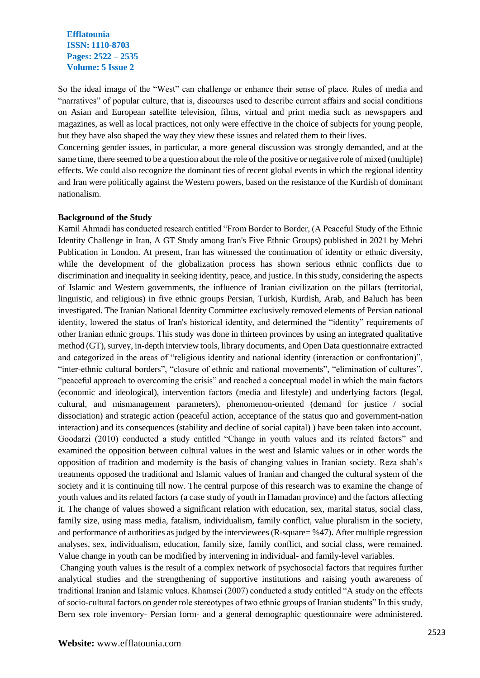So the ideal image of the "West" can challenge or enhance their sense of place. Rules of media and "narratives" of popular culture, that is, discourses used to describe current affairs and social conditions on Asian and European satellite television, films, virtual and print media such as newspapers and magazines, as well as local practices, not only were effective in the choice of subjects for young people, but they have also shaped the way they view these issues and related them to their lives.

Concerning gender issues, in particular, a more general discussion was strongly demanded, and at the same time, there seemed to be a question about the role of the positive or negative role of mixed (multiple) effects. We could also recognize the dominant ties of recent global events in which the regional identity and Iran were politically against the Western powers, based on the resistance of the Kurdish of dominant nationalism.

#### **Background of the Study**

Kamil Ahmadi has conducted research entitled "From Border to Border, (A Peaceful Study of the Ethnic Identity Challenge in Iran, A GT Study among Iran's Five Ethnic Groups) published in 2021 by Mehri Publication in London. At present, Iran has witnessed the continuation of identity or ethnic diversity, while the development of the globalization process has shown serious ethnic conflicts due to discrimination and inequality in seeking identity, peace, and justice. In this study, considering the aspects of Islamic and Western governments, the influence of Iranian civilization on the pillars (territorial, linguistic, and religious) in five ethnic groups Persian, Turkish, Kurdish, Arab, and Baluch has been investigated. The Iranian National Identity Committee exclusively removed elements of Persian national identity, lowered the status of Iran's historical identity, and determined the "identity" requirements of other Iranian ethnic groups. This study was done in thirteen provinces by using an integrated qualitative method (GT), survey, in-depth interview tools, library documents, and Open Data questionnaire extracted and categorized in the areas of "religious identity and national identity (interaction or confrontation)", "inter-ethnic cultural borders", "closure of ethnic and national movements", "elimination of cultures", "peaceful approach to overcoming the crisis" and reached a conceptual model in which the main factors (economic and ideological), intervention factors (media and lifestyle) and underlying factors (legal, cultural, and mismanagement parameters), phenomenon-oriented (demand for justice / social dissociation) and strategic action (peaceful action, acceptance of the status quo and government-nation interaction) and its consequences (stability and decline of social capital) ) have been taken into account. Goodarzi (2010) conducted a study entitled "Change in youth values and its related factors" and examined the opposition between cultural values in the west and Islamic values or in other words the opposition of tradition and modernity is the basis of changing values in Iranian society. Reza shah's treatments opposed the traditional and Islamic values of Iranian and changed the cultural system of the society and it is continuing till now. The central purpose of this research was to examine the change of youth values and its related factors (a case study of youth in Hamadan province) and the factors affecting it. The change of values showed a significant relation with education, sex, marital status, social class, family size, using mass media, fatalism, individualism, family conflict, value pluralism in the society, and performance of authorities as judged by the interviewees (R-square= %47). After multiple regression analyses, sex, individualism, education, family size, family conflict, and social class, were remained. Value change in youth can be modified by intervening in individual- and family-level variables.

Changing youth values is the result of a complex network of psychosocial factors that requires further analytical studies and the strengthening of supportive institutions and raising youth awareness of traditional Iranian and Islamic values. Khamsei (2007) conducted a study entitled "A study on the effects of socio-cultural factors on gender role stereotypes of two ethnic groups of Iranian students" In this study, Bern sex role inventory- Persian form- and a general demographic questionnaire were administered.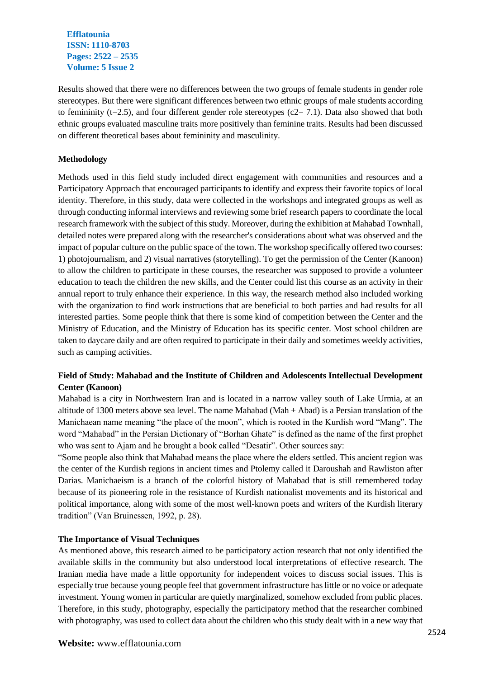Results showed that there were no differences between the two groups of female students in gender role stereotypes. But there were significant differences between two ethnic groups of male students according to femininity (t=2.5), and four different gender role stereotypes (c2= 7.1). Data also showed that both ethnic groups evaluated masculine traits more positively than feminine traits. Results had been discussed on different theoretical bases about femininity and masculinity.

# **Methodology**

Methods used in this field study included direct engagement with communities and resources and a Participatory Approach that encouraged participants to identify and express their favorite topics of local identity. Therefore, in this study, data were collected in the workshops and integrated groups as well as through conducting informal interviews and reviewing some brief research papers to coordinate the local research framework with the subject of this study. Moreover, during the exhibition at Mahabad Townhall, detailed notes were prepared along with the researcher's considerations about what was observed and the impact of popular culture on the public space of the town. The workshop specifically offered two courses: 1) photojournalism, and 2) visual narratives (storytelling). To get the permission of the Center (Kanoon) to allow the children to participate in these courses, the researcher was supposed to provide a volunteer education to teach the children the new skills, and the Center could list this course as an activity in their annual report to truly enhance their experience. In this way, the research method also included working with the organization to find work instructions that are beneficial to both parties and had results for all interested parties. Some people think that there is some kind of competition between the Center and the Ministry of Education, and the Ministry of Education has its specific center. Most school children are taken to daycare daily and are often required to participate in their daily and sometimes weekly activities, such as camping activities.

# **Field of Study: Mahabad and the Institute of Children and Adolescents Intellectual Development Center (Kanoon)**

Mahabad is a city in Northwestern Iran and is located in a narrow valley south of Lake Urmia, at an altitude of 1300 meters above sea level. The name Mahabad (Mah + Abad) is a Persian translation of the Manichaean name meaning "the place of the moon", which is rooted in the Kurdish word "Mang". The word "Mahabad" in the Persian Dictionary of "Borhan Ghate" is defined as the name of the first prophet who was sent to Ajam and he brought a book called "Desatir". Other sources say:

"Some people also think that Mahabad means the place where the elders settled. This ancient region was the center of the Kurdish regions in ancient times and Ptolemy called it Daroushah and Rawliston after Darias. Manichaeism is a branch of the colorful history of Mahabad that is still remembered today because of its pioneering role in the resistance of Kurdish nationalist movements and its historical and political importance, along with some of the most well-known poets and writers of the Kurdish literary tradition" (Van Bruinessen, 1992, p. 28).

### **The Importance of Visual Techniques**

As mentioned above, this research aimed to be participatory action research that not only identified the available skills in the community but also understood local interpretations of effective research. The Iranian media have made a little opportunity for independent voices to discuss social issues. This is especially true because young people feel that government infrastructure has little or no voice or adequate investment. Young women in particular are quietly marginalized, somehow excluded from public places. Therefore, in this study, photography, especially the participatory method that the researcher combined with photography, was used to collect data about the children who this study dealt with in a new way that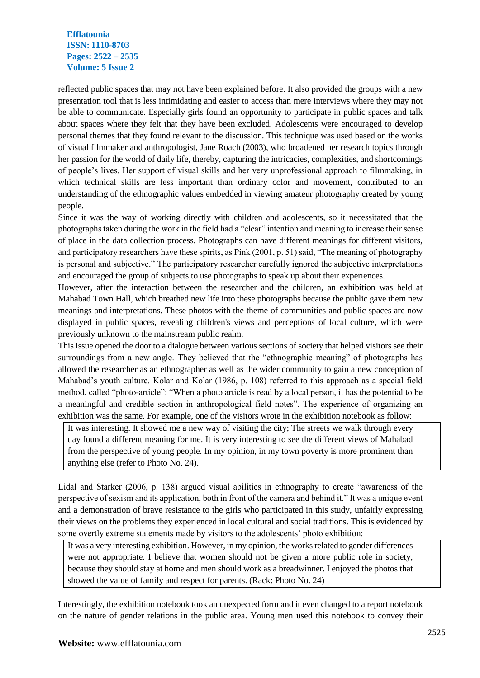reflected public spaces that may not have been explained before. It also provided the groups with a new presentation tool that is less intimidating and easier to access than mere interviews where they may not be able to communicate. Especially girls found an opportunity to participate in public spaces and talk about spaces where they felt that they have been excluded. Adolescents were encouraged to develop personal themes that they found relevant to the discussion. This technique was used based on the works of visual filmmaker and anthropologist, Jane Roach (2003), who broadened her research topics through her passion for the world of daily life, thereby, capturing the intricacies, complexities, and shortcomings of people's lives. Her support of visual skills and her very unprofessional approach to filmmaking, in which technical skills are less important than ordinary color and movement, contributed to an understanding of the ethnographic values embedded in viewing amateur photography created by young people.

Since it was the way of working directly with children and adolescents, so it necessitated that the photographs taken during the work in the field had a "clear" intention and meaning to increase their sense of place in the data collection process. Photographs can have different meanings for different visitors, and participatory researchers have these spirits, as Pink (2001, p. 51) said, "The meaning of photography is personal and subjective." The participatory researcher carefully ignored the subjective interpretations and encouraged the group of subjects to use photographs to speak up about their experiences.

However, after the interaction between the researcher and the children, an exhibition was held at Mahabad Town Hall, which breathed new life into these photographs because the public gave them new meanings and interpretations. These photos with the theme of communities and public spaces are now displayed in public spaces, revealing children's views and perceptions of local culture, which were previously unknown to the mainstream public realm.

This issue opened the door to a dialogue between various sections of society that helped visitors see their surroundings from a new angle. They believed that the "ethnographic meaning" of photographs has allowed the researcher as an ethnographer as well as the wider community to gain a new conception of Mahabad's youth culture. Kolar and Kolar (1986, p. 108) referred to this approach as a special field method, called "photo-article": "When a photo article is read by a local person, it has the potential to be a meaningful and credible section in anthropological field notes". The experience of organizing an exhibition was the same. For example, one of the visitors wrote in the exhibition notebook as follow:

It was interesting. It showed me a new way of visiting the city; The streets we walk through every day found a different meaning for me. It is very interesting to see the different views of Mahabad from the perspective of young people. In my opinion, in my town poverty is more prominent than anything else (refer to Photo No. 24).

Lidal and Starker (2006, p. 138) argued visual abilities in ethnography to create "awareness of the perspective of sexism and its application, both in front of the camera and behind it." It was a unique event and a demonstration of brave resistance to the girls who participated in this study, unfairly expressing their views on the problems they experienced in local cultural and social traditions. This is evidenced by some overtly extreme statements made by visitors to the adolescents' photo exhibition:

It was a very interesting exhibition. However, in my opinion, the works related to gender differences were not appropriate. I believe that women should not be given a more public role in society, because they should stay at home and men should work as a breadwinner. I enjoyed the photos that showed the value of family and respect for parents. (Rack: Photo No. 24)

Interestingly, the exhibition notebook took an unexpected form and it even changed to a report notebook on the nature of gender relations in the public area. Young men used this notebook to convey their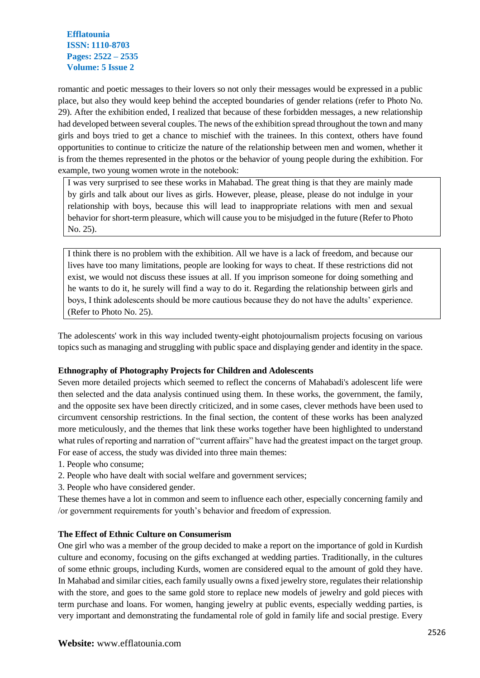romantic and poetic messages to their lovers so not only their messages would be expressed in a public place, but also they would keep behind the accepted boundaries of gender relations (refer to Photo No. 29). After the exhibition ended, I realized that because of these forbidden messages, a new relationship had developed between several couples. The news of the exhibition spread throughout the town and many girls and boys tried to get a chance to mischief with the trainees. In this context, others have found opportunities to continue to criticize the nature of the relationship between men and women, whether it is from the themes represented in the photos or the behavior of young people during the exhibition. For example, two young women wrote in the notebook:

I was very surprised to see these works in Mahabad. The great thing is that they are mainly made by girls and talk about our lives as girls. However, please, please, please do not indulge in your relationship with boys, because this will lead to inappropriate relations with men and sexual behavior for short-term pleasure, which will cause you to be misjudged in the future (Refer to Photo No. 25).

I think there is no problem with the exhibition. All we have is a lack of freedom, and because our lives have too many limitations, people are looking for ways to cheat. If these restrictions did not exist, we would not discuss these issues at all. If you imprison someone for doing something and he wants to do it, he surely will find a way to do it. Regarding the relationship between girls and boys, I think adolescents should be more cautious because they do not have the adults' experience. (Refer to Photo No. 25).

The adolescents' work in this way included twenty-eight photojournalism projects focusing on various topics such as managing and struggling with public space and displaying gender and identity in the space.

### **Ethnography of Photography Projects for Children and Adolescents**

Seven more detailed projects which seemed to reflect the concerns of Mahabadi's adolescent life were then selected and the data analysis continued using them. In these works, the government, the family, and the opposite sex have been directly criticized, and in some cases, clever methods have been used to circumvent censorship restrictions. In the final section, the content of these works has been analyzed more meticulously, and the themes that link these works together have been highlighted to understand what rules of reporting and narration of "current affairs" have had the greatest impact on the target group. For ease of access, the study was divided into three main themes:

- 1. People who consume;
- 2. People who have dealt with social welfare and government services;
- 3. People who have considered gender.

These themes have a lot in common and seem to influence each other, especially concerning family and /or government requirements for youth's behavior and freedom of expression.

### **The Effect of Ethnic Culture on Consumerism**

One girl who was a member of the group decided to make a report on the importance of gold in Kurdish culture and economy, focusing on the gifts exchanged at wedding parties. Traditionally, in the cultures of some ethnic groups, including Kurds, women are considered equal to the amount of gold they have. In Mahabad and similar cities, each family usually owns a fixed jewelry store, regulates their relationship with the store, and goes to the same gold store to replace new models of jewelry and gold pieces with term purchase and loans. For women, hanging jewelry at public events, especially wedding parties, is very important and demonstrating the fundamental role of gold in family life and social prestige. Every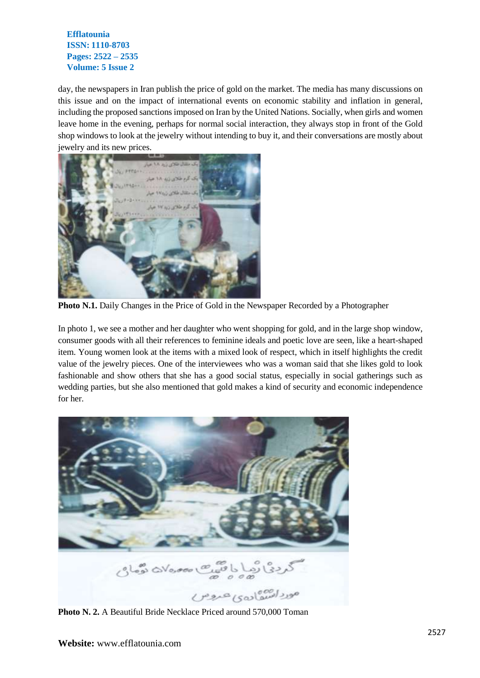day, the newspapers in Iran publish the price of gold on the market. The media has many discussions on this issue and on the impact of international events on economic stability and inflation in general, including the proposed sanctions imposed on Iran by the United Nations. Socially, when girls and women leave home in the evening, perhaps for normal social interaction, they always stop in front of the Gold shop windows to look at the jewelry without intending to buy it, and their conversations are mostly about jewelry and its new prices.



**Photo N.1.** Daily Changes in the Price of Gold in the Newspaper Recorded by a Photographer

In photo 1, we see a mother and her daughter who went shopping for gold, and in the large shop window, consumer goods with all their references to feminine ideals and poetic love are seen, like a heart-shaped item. Young women look at the items with a mixed look of respect, which in itself highlights the credit value of the jewelry pieces. One of the interviewees who was a woman said that she likes gold to look fashionable and show others that she has a good social status, especially in social gatherings such as wedding parties, but she also mentioned that gold makes a kind of security and economic independence for her.



**Photo N. 2.** A Beautiful Bride Necklace Priced around 570,000 Toman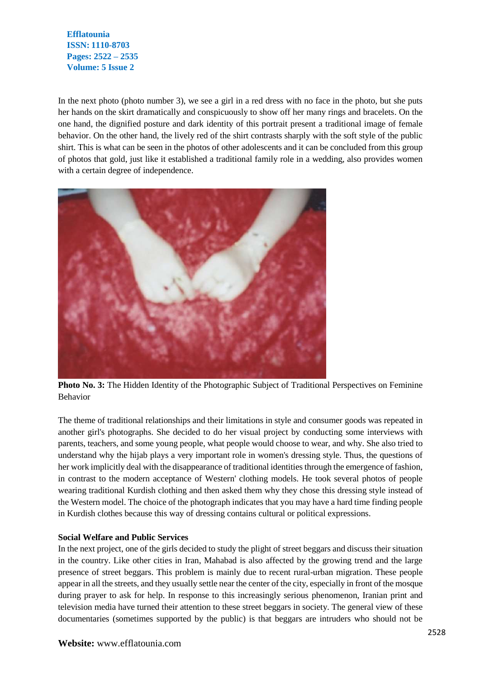In the next photo (photo number 3), we see a girl in a red dress with no face in the photo, but she puts her hands on the skirt dramatically and conspicuously to show off her many rings and bracelets. On the one hand, the dignified posture and dark identity of this portrait present a traditional image of female behavior. On the other hand, the lively red of the shirt contrasts sharply with the soft style of the public shirt. This is what can be seen in the photos of other adolescents and it can be concluded from this group of photos that gold, just like it established a traditional family role in a wedding, also provides women with a certain degree of independence.



**Photo No. 3:** The Hidden Identity of the Photographic Subject of Traditional Perspectives on Feminine Behavior

The theme of traditional relationships and their limitations in style and consumer goods was repeated in another girl's photographs. She decided to do her visual project by conducting some interviews with parents, teachers, and some young people, what people would choose to wear, and why. She also tried to understand why the hijab plays a very important role in women's dressing style. Thus, the questions of her work implicitly deal with the disappearance of traditional identities through the emergence of fashion, in contrast to the modern acceptance of Western' clothing models. He took several photos of people wearing traditional Kurdish clothing and then asked them why they chose this dressing style instead of the Western model. The choice of the photograph indicates that you may have a hard time finding people in Kurdish clothes because this way of dressing contains cultural or political expressions.

### **Social Welfare and Public Services**

In the next project, one of the girls decided to study the plight of street beggars and discuss their situation in the country. Like other cities in Iran, Mahabad is also affected by the growing trend and the large presence of street beggars. This problem is mainly due to recent rural-urban migration. These people appear in all the streets, and they usually settle near the center of the city, especially in front of the mosque during prayer to ask for help. In response to this increasingly serious phenomenon, Iranian print and television media have turned their attention to these street beggars in society. The general view of these documentaries (sometimes supported by the public) is that beggars are intruders who should not be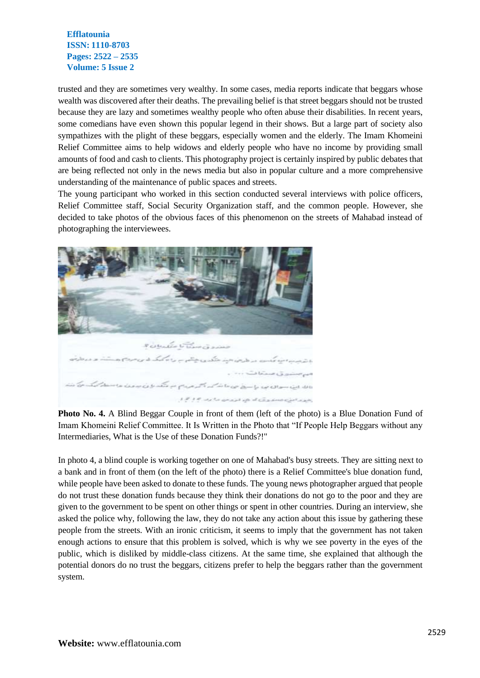trusted and they are sometimes very wealthy. In some cases, media reports indicate that beggars whose wealth was discovered after their deaths. The prevailing belief is that street beggars should not be trusted because they are lazy and sometimes wealthy people who often abuse their disabilities. In recent years, some comedians have even shown this popular legend in their shows. But a large part of society also sympathizes with the plight of these beggars, especially women and the elderly. The Imam Khomeini Relief Committee aims to help widows and elderly people who have no income by providing small amounts of food and cash to clients. This photography project is certainly inspired by public debates that are being reflected not only in the news media but also in popular culture and a more comprehensive understanding of the maintenance of public spaces and streets.

The young participant who worked in this section conducted several interviews with police officers, Relief Committee staff, Social Security Organization staff, and the common people. However, she decided to take photos of the obvious faces of this phenomenon on the streets of Mahabad instead of photographing the interviewees.



**Photo No. 4.** A Blind Beggar Couple in front of them (left of the photo) is a Blue Donation Fund of Imam Khomeini Relief Committee. It Is Written in the Photo that "If People Help Beggars without any Intermediaries, What is the Use of these Donation Funds?!"

In photo 4, a blind couple is working together on one of Mahabad's busy streets. They are sitting next to a bank and in front of them (on the left of the photo) there is a Relief Committee's blue donation fund, while people have been asked to donate to these funds. The young news photographer argued that people do not trust these donation funds because they think their donations do not go to the poor and they are given to the government to be spent on other things or spent in other countries. During an interview, she asked the police why, following the law, they do not take any action about this issue by gathering these people from the streets. With an ironic criticism, it seems to imply that the government has not taken enough actions to ensure that this problem is solved, which is why we see poverty in the eyes of the public, which is disliked by middle-class citizens. At the same time, she explained that although the potential donors do no trust the beggars, citizens prefer to help the beggars rather than the government system.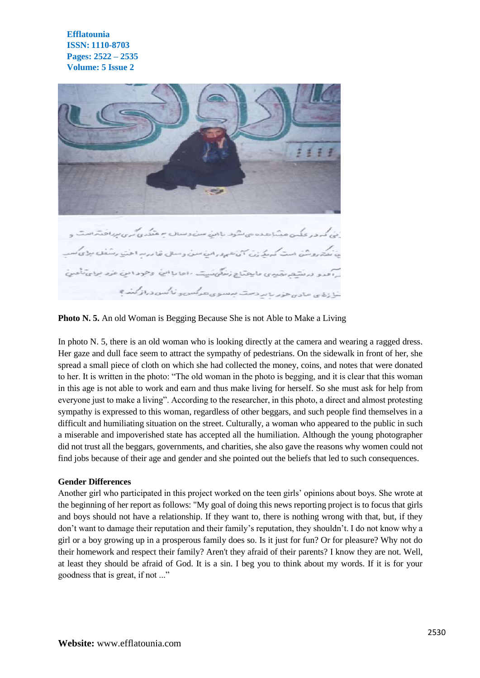

**Photo N. 5.** An old Woman is Begging Because She is not Able to Make a Living

In photo N. 5, there is an old woman who is looking directly at the camera and wearing a ragged dress. Her gaze and dull face seem to attract the sympathy of pedestrians. On the sidewalk in front of her, she spread a small piece of cloth on which she had collected the money, coins, and notes that were donated to her. It is written in the photo: "The old woman in the photo is begging, and it is clear that this woman in this age is not able to work and earn and thus make living for herself. So she must ask for help from everyone just to make a living". According to the researcher, in this photo, a direct and almost protesting sympathy is expressed to this woman, regardless of other beggars, and such people find themselves in a difficult and humiliating situation on the street. Culturally, a woman who appeared to the public in such a miserable and impoverished state has accepted all the humiliation. Although the young photographer did not trust all the beggars, governments, and charities, she also gave the reasons why women could not find jobs because of their age and gender and she pointed out the beliefs that led to such consequences.

#### **Gender Differences**

Another girl who participated in this project worked on the teen girls' opinions about boys. She wrote at the beginning of her report as follows: "My goal of doing this news reporting project is to focus that girls and boys should not have a relationship. If they want to, there is nothing wrong with that, but, if they don't want to damage their reputation and their family's reputation, they shouldn't. I do not know why a girl or a boy growing up in a prosperous family does so. Is it just for fun? Or for pleasure? Why not do their homework and respect their family? Aren't they afraid of their parents? I know they are not. Well, at least they should be afraid of God. It is a sin. I beg you to think about my words. If it is for your goodness that is great, if not ..."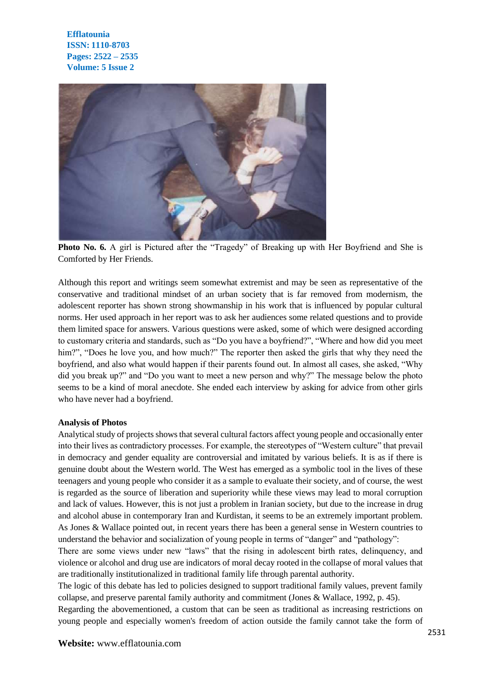

**Photo No. 6.** A girl is Pictured after the "Tragedy" of Breaking up with Her Boyfriend and She is Comforted by Her Friends.

Although this report and writings seem somewhat extremist and may be seen as representative of the conservative and traditional mindset of an urban society that is far removed from modernism, the adolescent reporter has shown strong showmanship in his work that is influenced by popular cultural norms. Her used approach in her report was to ask her audiences some related questions and to provide them limited space for answers. Various questions were asked, some of which were designed according to customary criteria and standards, such as "Do you have a boyfriend?", "Where and how did you meet him?", "Does he love you, and how much?" The reporter then asked the girls that why they need the boyfriend, and also what would happen if their parents found out. In almost all cases, she asked, "Why did you break up?" and "Do you want to meet a new person and why?" The message below the photo seems to be a kind of moral anecdote. She ended each interview by asking for advice from other girls who have never had a boyfriend.

#### **Analysis of Photos**

Analytical study of projects shows that several cultural factors affect young people and occasionally enter into their lives as contradictory processes. For example, the stereotypes of "Western culture" that prevail in democracy and gender equality are controversial and imitated by various beliefs. It is as if there is genuine doubt about the Western world. The West has emerged as a symbolic tool in the lives of these teenagers and young people who consider it as a sample to evaluate their society, and of course, the west is regarded as the source of liberation and superiority while these views may lead to moral corruption and lack of values. However, this is not just a problem in Iranian society, but due to the increase in drug and alcohol abuse in contemporary Iran and Kurdistan, it seems to be an extremely important problem. As Jones & Wallace pointed out, in recent years there has been a general sense in Western countries to understand the behavior and socialization of young people in terms of "danger" and "pathology":

There are some views under new "laws" that the rising in adolescent birth rates, delinquency, and violence or alcohol and drug use are indicators of moral decay rooted in the collapse of moral values that are traditionally institutionalized in traditional family life through parental authority.

The logic of this debate has led to policies designed to support traditional family values, prevent family collapse, and preserve parental family authority and commitment (Jones & Wallace, 1992, p. 45).

Regarding the abovementioned, a custom that can be seen as traditional as increasing restrictions on young people and especially women's freedom of action outside the family cannot take the form of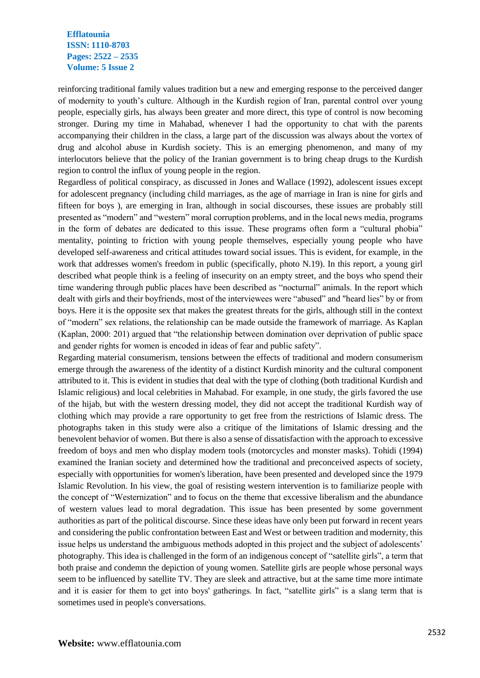reinforcing traditional family values tradition but a new and emerging response to the perceived danger of modernity to youth's culture. Although in the Kurdish region of Iran, parental control over young people, especially girls, has always been greater and more direct, this type of control is now becoming stronger. During my time in Mahabad, whenever I had the opportunity to chat with the parents accompanying their children in the class, a large part of the discussion was always about the vortex of drug and alcohol abuse in Kurdish society. This is an emerging phenomenon, and many of my interlocutors believe that the policy of the Iranian government is to bring cheap drugs to the Kurdish region to control the influx of young people in the region.

Regardless of political conspiracy, as discussed in Jones and Wallace (1992), adolescent issues except for adolescent pregnancy (including child marriages, as the age of marriage in Iran is nine for girls and fifteen for boys ), are emerging in Iran, although in social discourses, these issues are probably still presented as "modern" and "western" moral corruption problems, and in the local news media, programs in the form of debates are dedicated to this issue. These programs often form a "cultural phobia" mentality, pointing to friction with young people themselves, especially young people who have developed self-awareness and critical attitudes toward social issues. This is evident, for example, in the work that addresses women's freedom in public (specifically, photo N.19). In this report, a young girl described what people think is a feeling of insecurity on an empty street, and the boys who spend their time wandering through public places have been described as "nocturnal" animals. In the report which dealt with girls and their boyfriends, most of the interviewees were "abused" and "heard lies" by or from boys. Here it is the opposite sex that makes the greatest threats for the girls, although still in the context of "modern" sex relations, the relationship can be made outside the framework of marriage. As Kaplan (Kaplan, 2000: 201) argued that "the relationship between domination over deprivation of public space and gender rights for women is encoded in ideas of fear and public safety".

Regarding material consumerism, tensions between the effects of traditional and modern consumerism emerge through the awareness of the identity of a distinct Kurdish minority and the cultural component attributed to it. This is evident in studies that deal with the type of clothing (both traditional Kurdish and Islamic religious) and local celebrities in Mahabad. For example, in one study, the girls favored the use of the hijab, but with the western dressing model, they did not accept the traditional Kurdish way of clothing which may provide a rare opportunity to get free from the restrictions of Islamic dress. The photographs taken in this study were also a critique of the limitations of Islamic dressing and the benevolent behavior of women. But there is also a sense of dissatisfaction with the approach to excessive freedom of boys and men who display modern tools (motorcycles and monster masks). Tohidi (1994) examined the Iranian society and determined how the traditional and preconceived aspects of society, especially with opportunities for women's liberation, have been presented and developed since the 1979 Islamic Revolution. In his view, the goal of resisting western intervention is to familiarize people with the concept of "Westernization" and to focus on the theme that excessive liberalism and the abundance of western values lead to moral degradation. This issue has been presented by some government authorities as part of the political discourse. Since these ideas have only been put forward in recent years and considering the public confrontation between East and West or between tradition and modernity, this issue helps us understand the ambiguous methods adopted in this project and the subject of adolescents' photography. This idea is challenged in the form of an indigenous concept of "satellite girls", a term that both praise and condemn the depiction of young women. Satellite girls are people whose personal ways seem to be influenced by satellite TV. They are sleek and attractive, but at the same time more intimate and it is easier for them to get into boys' gatherings. In fact, "satellite girls" is a slang term that is sometimes used in people's conversations.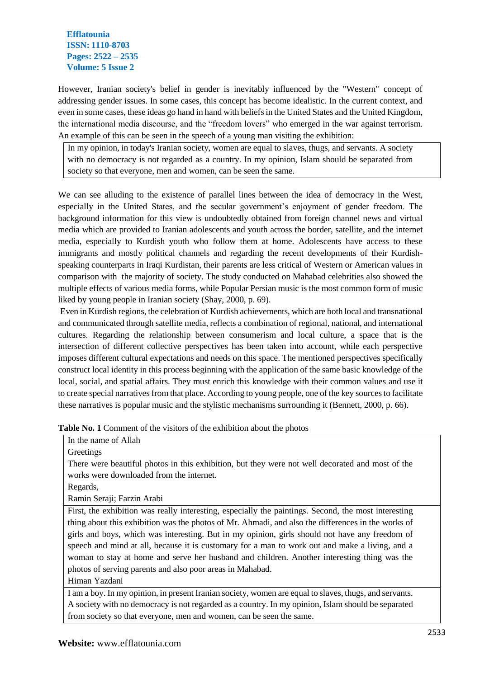However, Iranian society's belief in gender is inevitably influenced by the "Western" concept of addressing gender issues. In some cases, this concept has become idealistic. In the current context, and even in some cases, these ideas go hand in hand with beliefs in the United States and the United Kingdom, the international media discourse, and the "freedom lovers" who emerged in the war against terrorism. An example of this can be seen in the speech of a young man visiting the exhibition:

In my opinion, in today's Iranian society, women are equal to slaves, thugs, and servants. A society with no democracy is not regarded as a country. In my opinion, Islam should be separated from society so that everyone, men and women, can be seen the same.

We can see alluding to the existence of parallel lines between the idea of democracy in the West, especially in the United States, and the secular government's enjoyment of gender freedom. The background information for this view is undoubtedly obtained from foreign channel news and virtual media which are provided to Iranian adolescents and youth across the border, satellite, and the internet media, especially to Kurdish youth who follow them at home. Adolescents have access to these immigrants and mostly political channels and regarding the recent developments of their Kurdishspeaking counterparts in Iraqi Kurdistan, their parents are less critical of Western or American values in comparison with the majority of society. The study conducted on Mahabad celebrities also showed the multiple effects of various media forms, while Popular Persian music is the most common form of music liked by young people in Iranian society (Shay, 2000, p. 69).

Even in Kurdish regions, the celebration of Kurdish achievements, which are both local and transnational and communicated through satellite media, reflects a combination of regional, national, and international cultures. Regarding the relationship between consumerism and local culture, a space that is the intersection of different collective perspectives has been taken into account, while each perspective imposes different cultural expectations and needs on this space. The mentioned perspectives specifically construct local identity in this process beginning with the application of the same basic knowledge of the local, social, and spatial affairs. They must enrich this knowledge with their common values and use it to create special narratives from that place. According to young people, one of the key sources to facilitate these narratives is popular music and the stylistic mechanisms surrounding it (Bennett, 2000, p. 66).

| Table No. 1 Comment of the visitors of the exhibition about the photos |
|------------------------------------------------------------------------|
|------------------------------------------------------------------------|

|  | In the name of Allah |  |
|--|----------------------|--|
|  |                      |  |

**Greetings** 

There were beautiful photos in this exhibition, but they were not well decorated and most of the works were downloaded from the internet.

Regards,

Ramin Seraji; Farzin Arabi

First, the exhibition was really interesting, especially the paintings. Second, the most interesting thing about this exhibition was the photos of Mr. Ahmadi, and also the differences in the works of girls and boys, which was interesting. But in my opinion, girls should not have any freedom of speech and mind at all, because it is customary for a man to work out and make a living, and a woman to stay at home and serve her husband and children. Another interesting thing was the photos of serving parents and also poor areas in Mahabad.

Himan Yazdani

I am a boy. In my opinion, in present Iranian society, women are equal to slaves, thugs, and servants. A society with no democracy is not regarded as a country. In my opinion, Islam should be separated from society so that everyone, men and women, can be seen the same.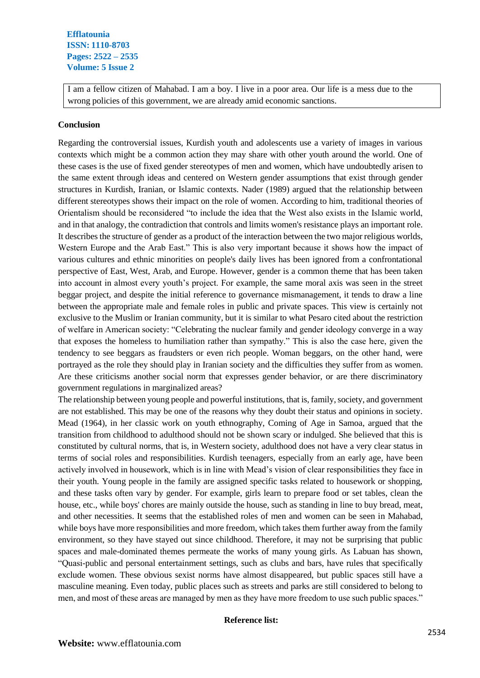I am a fellow citizen of Mahabad. I am a boy. I live in a poor area. Our life is a mess due to the wrong policies of this government, we are already amid economic sanctions.

### **Conclusion**

Regarding the controversial issues, Kurdish youth and adolescents use a variety of images in various contexts which might be a common action they may share with other youth around the world. One of these cases is the use of fixed gender stereotypes of men and women, which have undoubtedly arisen to the same extent through ideas and centered on Western gender assumptions that exist through gender structures in Kurdish, Iranian, or Islamic contexts. Nader (1989) argued that the relationship between different stereotypes shows their impact on the role of women. According to him, traditional theories of Orientalism should be reconsidered "to include the idea that the West also exists in the Islamic world, and in that analogy, the contradiction that controls and limits women's resistance plays an important role. It describes the structure of gender as a product of the interaction between the two major religious worlds, Western Europe and the Arab East." This is also very important because it shows how the impact of various cultures and ethnic minorities on people's daily lives has been ignored from a confrontational perspective of East, West, Arab, and Europe. However, gender is a common theme that has been taken into account in almost every youth's project. For example, the same moral axis was seen in the street beggar project, and despite the initial reference to governance mismanagement, it tends to draw a line between the appropriate male and female roles in public and private spaces. This view is certainly not exclusive to the Muslim or Iranian community, but it is similar to what Pesaro cited about the restriction of welfare in American society: "Celebrating the nuclear family and gender ideology converge in a way that exposes the homeless to humiliation rather than sympathy." This is also the case here, given the tendency to see beggars as fraudsters or even rich people. Woman beggars, on the other hand, were portrayed as the role they should play in Iranian society and the difficulties they suffer from as women. Are these criticisms another social norm that expresses gender behavior, or are there discriminatory government regulations in marginalized areas?

The relationship between young people and powerful institutions, that is, family, society, and government are not established. This may be one of the reasons why they doubt their status and opinions in society. Mead (1964), in her classic work on youth ethnography, Coming of Age in Samoa, argued that the transition from childhood to adulthood should not be shown scary or indulged. She believed that this is constituted by cultural norms, that is, in Western society, adulthood does not have a very clear status in terms of social roles and responsibilities. Kurdish teenagers, especially from an early age, have been actively involved in housework, which is in line with Mead's vision of clear responsibilities they face in their youth. Young people in the family are assigned specific tasks related to housework or shopping, and these tasks often vary by gender. For example, girls learn to prepare food or set tables, clean the house, etc., while boys' chores are mainly outside the house, such as standing in line to buy bread, meat, and other necessities. It seems that the established roles of men and women can be seen in Mahabad, while boys have more responsibilities and more freedom, which takes them further away from the family environment, so they have stayed out since childhood. Therefore, it may not be surprising that public spaces and male-dominated themes permeate the works of many young girls. As Labuan has shown, "Quasi-public and personal entertainment settings, such as clubs and bars, have rules that specifically exclude women. These obvious sexist norms have almost disappeared, but public spaces still have a masculine meaning. Even today, public places such as streets and parks are still considered to belong to men, and most of these areas are managed by men as they have more freedom to use such public spaces."

### **Reference list:**